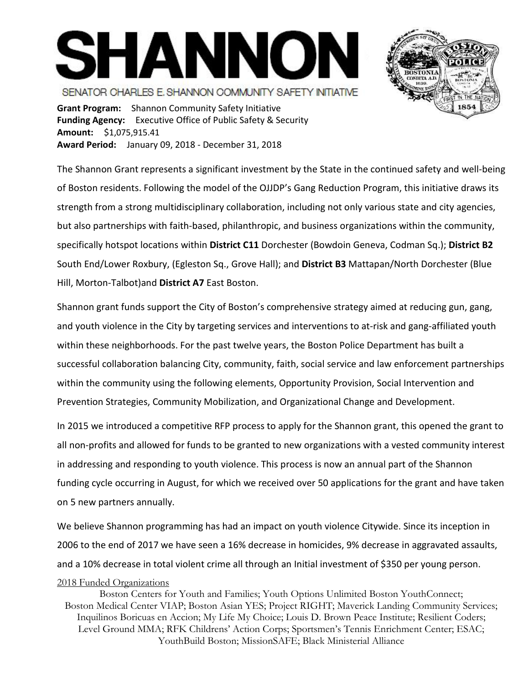## **SHANNON** SENATOR CHARLES E. SHANNON COMMUNITY SAFETY INTIATIVE



**Grant Program:** Shannon Community Safety Initiative **Funding Agency:** Executive Office of Public Safety & Security **Amount:** \$1,075,915.41 **Award Period:** January 09, 2018 - December 31, 2018

The Shannon Grant represents a significant investment by the State in the continued safety and well-being of Boston residents. Following the model of the OJJDP's Gang Reduction Program, this initiative draws its strength from a strong multidisciplinary collaboration, including not only various state and city agencies, but also partnerships with faith-based, philanthropic, and business organizations within the community, specifically hotspot locations within **District C11** Dorchester (Bowdoin Geneva, Codman Sq.); **District B2** South End/Lower Roxbury, (Egleston Sq., Grove Hall); and **District B3** Mattapan/North Dorchester (Blue Hill, Morton-Talbot)and **District A7** East Boston.

Shannon grant funds support the City of Boston's comprehensive strategy aimed at reducing gun, gang, and youth violence in the City by targeting services and interventions to at-risk and gang-affiliated youth within these neighborhoods. For the past twelve years, the Boston Police Department has built a successful collaboration balancing City, community, faith, social service and law enforcement partnerships within the community using the following elements, Opportunity Provision, Social Intervention and Prevention Strategies, Community Mobilization, and Organizational Change and Development.

In 2015 we introduced a competitive RFP process to apply for the Shannon grant, this opened the grant to all non-profits and allowed for funds to be granted to new organizations with a vested community interest in addressing and responding to youth violence. This process is now an annual part of the Shannon funding cycle occurring in August, for which we received over 50 applications for the grant and have taken on 5 new partners annually.

We believe Shannon programming has had an impact on youth violence Citywide. Since its inception in 2006 to the end of 2017 we have seen a 16% decrease in homicides, 9% decrease in aggravated assaults, and a 10% decrease in total violent crime all through an Initial investment of \$350 per young person.

## 2018 Funded Organizations

Boston Centers for Youth and Families; Youth Options Unlimited Boston YouthConnect; Boston Medical Center VIAP; Boston Asian YES; Project RIGHT; Maverick Landing Community Services; Inquilinos Boricuas en Accion; My Life My Choice; Louis D. Brown Peace Institute; Resilient Coders; Level Ground MMA; RFK Childrens' Action Corps; Sportsmen's Tennis Enrichment Center; ESAC; YouthBuild Boston; MissionSAFE; Black Ministerial Alliance